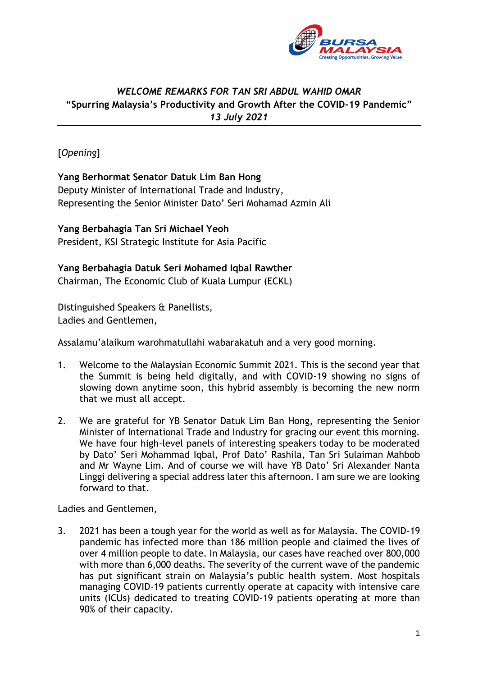

## *WELCOME REMARKS FOR TAN SRI ABDUL WAHID OMAR* **"Spurring Malaysia's Productivity and Growth After the COVID-19 Pandemic"** *13 July 2021*

[*Opening*]

## **Yang Berhormat Senator Datuk Lim Ban Hong**

Deputy Minister of International Trade and Industry, Representing the Senior Minister Dato' Seri Mohamad Azmin Ali

## **Yang Berbahagia Tan Sri Michael Yeoh**

President, KSI Strategic Institute for Asia Pacific

## **Yang Berbahagia Datuk Seri Mohamed Iqbal Rawther**

Chairman, The Economic Club of Kuala Lumpur (ECKL)

Distinguished Speakers & Panellists, Ladies and Gentlemen,

Assalamu'alaikum warohmatullahi wabarakatuh and a very good morning.

- 1. Welcome to the Malaysian Economic Summit 2021. This is the second year that the Summit is being held digitally, and with COVID-19 showing no signs of slowing down anytime soon, this hybrid assembly is becoming the new norm that we must all accept.
- 2. We are grateful for YB Senator Datuk Lim Ban Hong, representing the Senior Minister of International Trade and Industry for gracing our event this morning. We have four high-level panels of interesting speakers today to be moderated by Dato' Seri Mohammad Iqbal, Prof Dato' Rashila, Tan Sri Sulaiman Mahbob and Mr Wayne Lim. And of course we will have YB Dato' Sri Alexander Nanta Linggi delivering a special address later this afternoon. I am sure we are looking forward to that.

Ladies and Gentlemen,

3. 2021 has been a tough year for the world as well as for Malaysia. The COVID-19 pandemic has infected more than 186 million people and claimed the lives of over 4 million people to date. In Malaysia, our cases have reached over 800,000 with more than 6,000 deaths. The severity of the current wave of the pandemic has put significant strain on Malaysia's public health system. Most hospitals managing COVID-19 patients currently operate at capacity with intensive care units (ICUs) dedicated to treating COVID-19 patients operating at more than 90% of their capacity.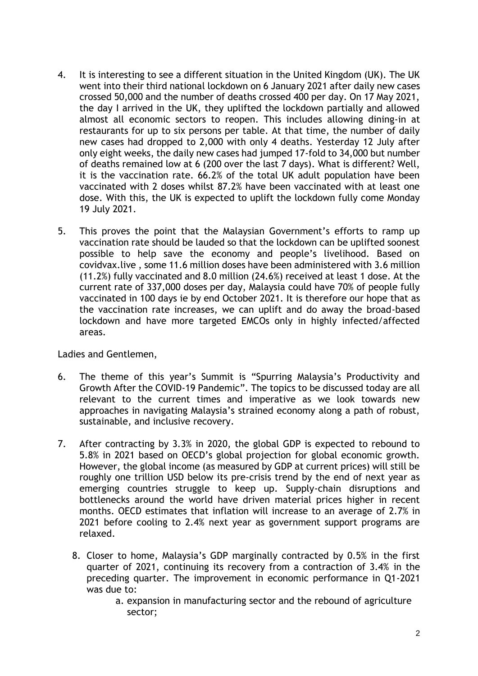- 4. It is interesting to see a different situation in the United Kingdom (UK). The UK went into their third national lockdown on 6 January 2021 after daily new cases crossed 50,000 and the number of deaths crossed 400 per day. On 17 May 2021, the day I arrived in the UK, they uplifted the lockdown partially and allowed almost all economic sectors to reopen. This includes allowing dining-in at restaurants for up to six persons per table. At that time, the number of daily new cases had dropped to 2,000 with only 4 deaths. Yesterday 12 July after only eight weeks, the daily new cases had jumped 17-fold to 34,000 but number of deaths remained low at 6 (200 over the last 7 days). What is different? Well, it is the vaccination rate. 66.2% of the total UK adult population have been vaccinated with 2 doses whilst 87.2% have been vaccinated with at least one dose. With this, the UK is expected to uplift the lockdown fully come Monday 19 July 2021.
- 5. This proves the point that the Malaysian Government's efforts to ramp up vaccination rate should be lauded so that the lockdown can be uplifted soonest possible to help save the economy and people's livelihood. Based on covidvax.live , some 11.6 million doses have been administered with 3.6 million (11.2%) fully vaccinated and 8.0 million (24.6%) received at least 1 dose. At the current rate of 337,000 doses per day, Malaysia could have 70% of people fully vaccinated in 100 days ie by end October 2021. It is therefore our hope that as the vaccination rate increases, we can uplift and do away the broad-based lockdown and have more targeted EMCOs only in highly infected/affected areas.

Ladies and Gentlemen,

- 6. The theme of this year's Summit is "Spurring Malaysia's Productivity and Growth After the COVID-19 Pandemic". The topics to be discussed today are all relevant to the current times and imperative as we look towards new approaches in navigating Malaysia's strained economy along a path of robust, sustainable, and inclusive recovery.
- 7. After contracting by 3.3% in 2020, the global GDP is expected to rebound to 5.8% in 2021 based on OECD's global projection for global economic growth. However, the global income (as measured by GDP at current prices) will still be roughly one trillion USD below its pre-crisis trend by the end of next year as emerging countries struggle to keep up. Supply-chain disruptions and bottlenecks around the world have driven material prices higher in recent months. OECD estimates that inflation will increase to an average of 2.7% in 2021 before cooling to 2.4% next year as government support programs are relaxed.
	- 8. Closer to home, Malaysia's GDP marginally contracted by 0.5% in the first quarter of 2021, continuing its recovery from a contraction of 3.4% in the preceding quarter. The improvement in economic performance in Q1-2021 was due to:
		- a. expansion in manufacturing sector and the rebound of agriculture sector;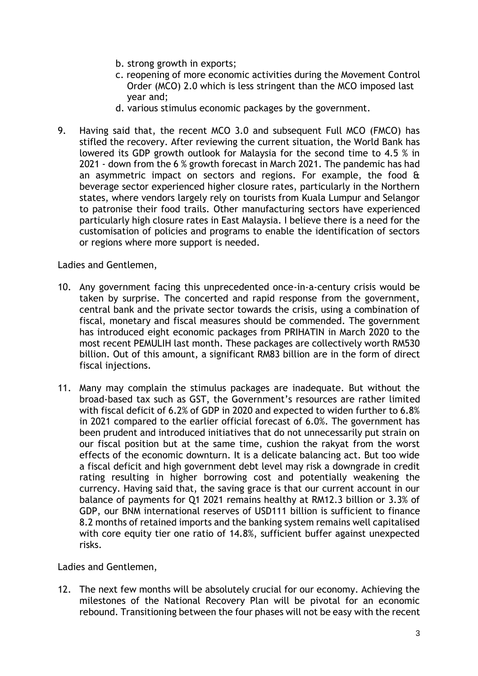- b. strong growth in exports;
- c. reopening of more economic activities during the Movement Control Order (MCO) 2.0 which is less stringent than the MCO imposed last year and;
- d. various stimulus economic packages by the government.
- 9. Having said that, the recent MCO 3.0 and subsequent Full MCO (FMCO) has stifled the recovery. After reviewing the current situation, the World Bank has lowered its GDP growth outlook for Malaysia for the second time to 4.5 % in 2021 - down from the 6 % growth forecast in March 2021. The pandemic has had an asymmetric impact on sectors and regions. For example, the food & beverage sector experienced higher closure rates, particularly in the Northern states, where vendors largely rely on tourists from Kuala Lumpur and Selangor to patronise their food trails. Other manufacturing sectors have experienced particularly high closure rates in East Malaysia. I believe there is a need for the customisation of policies and programs to enable the identification of sectors or regions where more support is needed.

Ladies and Gentlemen,

- 10. Any government facing this unprecedented once-in-a-century crisis would be taken by surprise. The concerted and rapid response from the government, central bank and the private sector towards the crisis, using a combination of fiscal, monetary and fiscal measures should be commended. The government has introduced eight economic packages from PRIHATIN in March 2020 to the most recent PEMULIH last month. These packages are collectively worth RM530 billion. Out of this amount, a significant RM83 billion are in the form of direct fiscal injections.
- 11. Many may complain the stimulus packages are inadequate. But without the broad-based tax such as GST, the Government's resources are rather limited with fiscal deficit of 6.2% of GDP in 2020 and expected to widen further to 6.8% in 2021 compared to the earlier official forecast of 6.0%. The government has been prudent and introduced initiatives that do not unnecessarily put strain on our fiscal position but at the same time, cushion the rakyat from the worst effects of the economic downturn. It is a delicate balancing act. But too wide a fiscal deficit and high government debt level may risk a downgrade in credit rating resulting in higher borrowing cost and potentially weakening the currency. Having said that, the saving grace is that our current account in our balance of payments for Q1 2021 remains healthy at RM12.3 billion or 3.3% of GDP, our BNM international reserves of USD111 billion is sufficient to finance 8.2 months of retained imports and the banking system remains well capitalised with core equity tier one ratio of 14.8%, sufficient buffer against unexpected risks.

Ladies and Gentlemen,

12. The next few months will be absolutely crucial for our economy. Achieving the milestones of the National Recovery Plan will be pivotal for an economic rebound. Transitioning between the four phases will not be easy with the recent